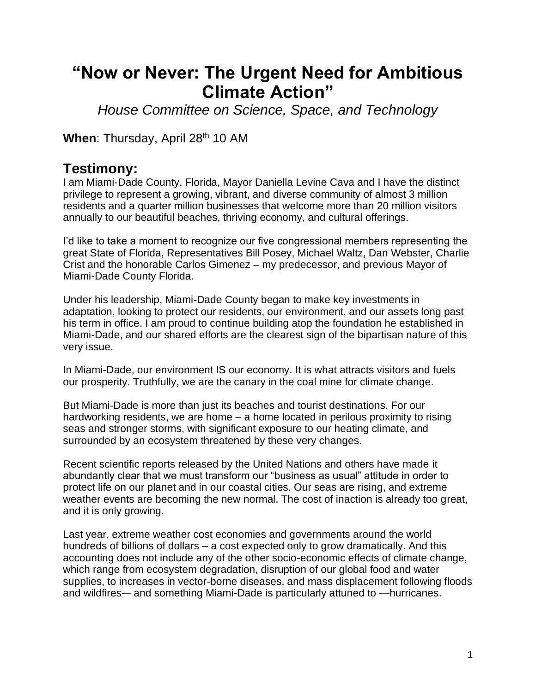## **"Now or Never: The Urgent Need for Ambitious Climate Action"**

*House Committee on Science, Space, and Technology*

When: Thursday, April 28<sup>th</sup> 10 AM

## **Testimony:**

I am Miami-Dade County, Florida, Mayor Daniella Levine Cava and I have the distinct privilege to represent a growing, vibrant, and diverse community of almost 3 million residents and a quarter million businesses that welcome more than 20 million visitors annually to our beautiful beaches, thriving economy, and cultural offerings.

I'd like to take a moment to recognize our five congressional members representing the great State of Florida, Representatives Bill Posey, Michael Waltz, Dan Webster, Charlie Crist and the honorable Carlos Gimenez – my predecessor, and previous Mayor of Miami-Dade County Florida.

Under his leadership, Miami-Dade County began to make key investments in adaptation, looking to protect our residents, our environment, and our assets long past his term in office. I am proud to continue building atop the foundation he established in Miami-Dade, and our shared efforts are the clearest sign of the bipartisan nature of this very issue.

In Miami-Dade, our environment IS our economy. It is what attracts visitors and fuels our prosperity. Truthfully, we are the canary in the coal mine for climate change.

But Miami-Dade is more than just its beaches and tourist destinations. For our hardworking residents, we are home – a home located in perilous proximity to rising seas and stronger storms, with significant exposure to our heating climate, and surrounded by an ecosystem threatened by these very changes.

Recent scientific reports released by the United Nations and others have made it abundantly clear that we must transform our "business as usual" attitude in order to protect life on our planet and in our coastal cities. Our seas are rising, and extreme weather events are becoming the new normal. The cost of inaction is already too great, and it is only growing.

Last year, extreme weather cost economies and governments around the world hundreds of billions of dollars – a cost expected only to grow dramatically. And this accounting does not include any of the other socio-economic effects of climate change, which range from ecosystem degradation, disruption of our global food and water supplies, to increases in vector-borne diseases, and mass displacement following floods and wildfires-– and something Miami-Dade is particularly attuned to —hurricanes.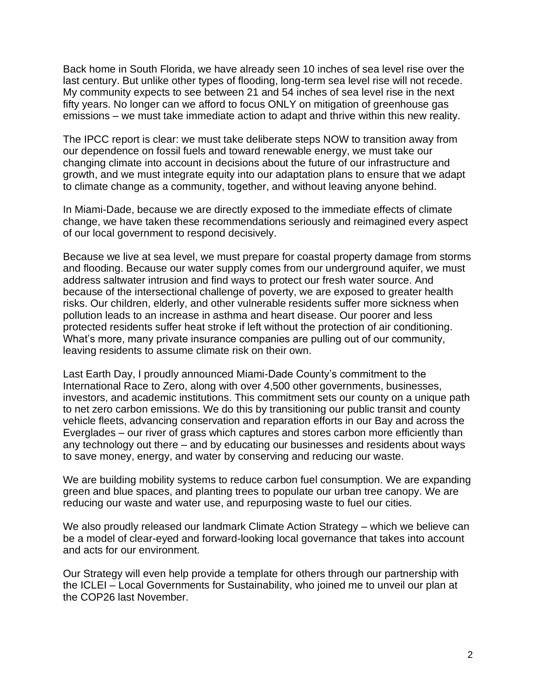Back home in South Florida, we have already seen 10 inches of sea level rise over the last century. But unlike other types of flooding, long-term sea level rise will not recede. My community expects to see between 21 and 54 inches of sea level rise in the next fifty years. No longer can we afford to focus ONLY on mitigation of greenhouse gas emissions – we must take immediate action to adapt and thrive within this new reality.

The IPCC report is clear: we must take deliberate steps NOW to transition away from our dependence on fossil fuels and toward renewable energy, we must take our changing climate into account in decisions about the future of our infrastructure and growth, and we must integrate equity into our adaptation plans to ensure that we adapt to climate change as a community, together, and without leaving anyone behind.

In Miami-Dade, because we are directly exposed to the immediate effects of climate change, we have taken these recommendations seriously and reimagined every aspect of our local government to respond decisively.

Because we live at sea level, we must prepare for coastal property damage from storms and flooding. Because our water supply comes from our underground aquifer, we must address saltwater intrusion and find ways to protect our fresh water source. And because of the intersectional challenge of poverty, we are exposed to greater health risks. Our children, elderly, and other vulnerable residents suffer more sickness when pollution leads to an increase in asthma and heart disease. Our poorer and less protected residents suffer heat stroke if left without the protection of air conditioning. What's more, many private insurance companies are pulling out of our community, leaving residents to assume climate risk on their own.

Last Earth Day, I proudly announced Miami-Dade County's commitment to the International Race to Zero, along with over 4,500 other governments, businesses, investors, and academic institutions. This commitment sets our county on a unique path to net zero carbon emissions. We do this by transitioning our public transit and county vehicle fleets, advancing conservation and reparation efforts in our Bay and across the Everglades – our river of grass which captures and stores carbon more efficiently than any technology out there – and by educating our businesses and residents about ways to save money, energy, and water by conserving and reducing our waste.

We are building mobility systems to reduce carbon fuel consumption. We are expanding green and blue spaces, and planting trees to populate our urban tree canopy. We are reducing our waste and water use, and repurposing waste to fuel our cities.

We also proudly released our landmark Climate Action Strategy – which we believe can be a model of clear-eyed and forward-looking local governance that takes into account and acts for our environment.

Our Strategy will even help provide a template for others through our partnership with the ICLEI – Local Governments for Sustainability, who joined me to unveil our plan at the COP26 last November.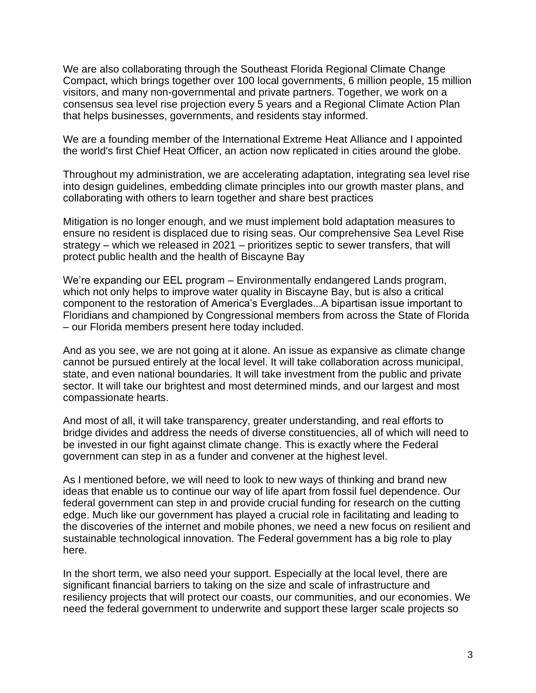We are also collaborating through the Southeast Florida Regional Climate Change Compact, which brings together over 100 local governments, 6 million people, 15 million visitors, and many non-governmental and private partners. Together, we work on a consensus sea level rise projection every 5 years and a Regional Climate Action Plan that helps businesses, governments, and residents stay informed.

We are a founding member of the International Extreme Heat Alliance and I appointed the world's first Chief Heat Officer, an action now replicated in cities around the globe.

Throughout my administration, we are accelerating adaptation, integrating sea level rise into design guidelines, embedding climate principles into our growth master plans, and collaborating with others to learn together and share best practices

Mitigation is no longer enough, and we must implement bold adaptation measures to ensure no resident is displaced due to rising seas. Our comprehensive Sea Level Rise strategy – which we released in 2021 – prioritizes septic to sewer transfers, that will protect public health and the health of Biscayne Bay

We're expanding our EEL program – Environmentally endangered Lands program, which not only helps to improve water quality in Biscayne Bay, but is also a critical component to the restoration of America's Everglades...A bipartisan issue important to Floridians and championed by Congressional members from across the State of Florida – our Florida members present here today included.

And as you see, we are not going at it alone. An issue as expansive as climate change cannot be pursued entirely at the local level. It will take collaboration across municipal, state, and even national boundaries. It will take investment from the public and private sector. It will take our brightest and most determined minds, and our largest and most compassionate hearts.

And most of all, it will take transparency, greater understanding, and real efforts to bridge divides and address the needs of diverse constituencies, all of which will need to be invested in our fight against climate change. This is exactly where the Federal government can step in as a funder and convener at the highest level.

As I mentioned before, we will need to look to new ways of thinking and brand new ideas that enable us to continue our way of life apart from fossil fuel dependence. Our federal government can step in and provide crucial funding for research on the cutting edge. Much like our government has played a crucial role in facilitating and leading to the discoveries of the internet and mobile phones, we need a new focus on resilient and sustainable technological innovation. The Federal government has a big role to play here.

In the short term, we also need your support. Especially at the local level, there are significant financial barriers to taking on the size and scale of infrastructure and resiliency projects that will protect our coasts, our communities, and our economies. We need the federal government to underwrite and support these larger scale projects so